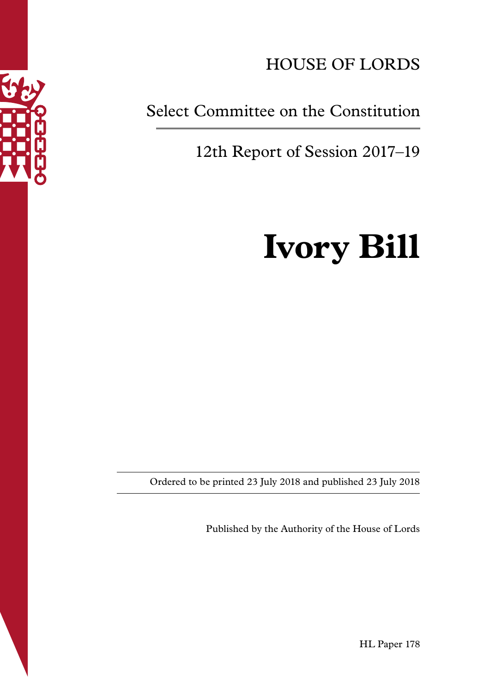

## HOUSE OF LORDS

### Select Committee on the Constitution

12th Report of Session 2017–19

# **Ivory Bill**

Ordered to be printed 23 July 2018 and published 23 July 2018

Published by the Authority of the House of Lords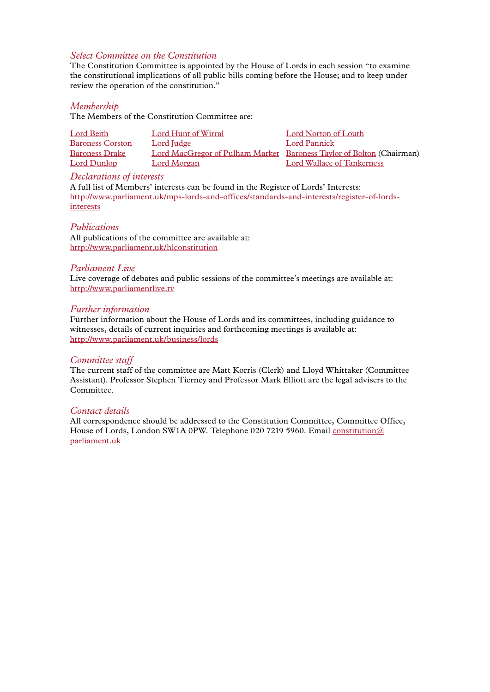#### *Select Committee on the Constitution*

The Constitution Committee is appointed by the House of Lords in each session "to examine the constitutional implications of all public bills coming before the House; and to keep under review the operation of the constitution."

#### *Membership*

The Members of the Constitution Committee are:

| Lord Beith              | Lord Hunt of Wirral | Lord Norton of Louth                                                 |
|-------------------------|---------------------|----------------------------------------------------------------------|
| <b>Baroness Corston</b> | Lord Judge          | Lord Pannick                                                         |
| <b>Baroness Drake</b>   |                     | Lord MacGregor of Pulham Market Baroness Taylor of Bolton (Chairman) |
| Lord Dunlop             | Lord Morgan         | Lord Wallace of Tankerness                                           |

#### *Declarations of interests*

A full list of Members' interests can be found in the Register of Lords' Interests: [http://www.parliament.uk/mps-lords-and-offices/standards-and-interests/register-of-lords](http://www.parliament.uk/mps-lords-and-offices/standards-and-interests/register-of-lords-interests)[interests](http://www.parliament.uk/mps-lords-and-offices/standards-and-interests/register-of-lords-interests)

#### *Publications*

All publications of the committee are available at: <http://www.parliament.uk/hlconstitution>

#### *Parliament Live*

Live coverage of debates and public sessions of the committee's meetings are available at: <http://www.parliamentlive.tv>

#### *Further information*

Further information about the House of Lords and its committees, including guidance to witnesses, details of current inquiries and forthcoming meetings is available at: <http://www.parliament.uk/business/lords>

#### *Committee staff*

The current staff of the committee are Matt Korris (Clerk) and Lloyd Whittaker (Committee Assistant). Professor Stephen Tierney and Professor Mark Elliott are the legal advisers to the Committee.

#### *Contact details*

All correspondence should be addressed to the Constitution Committee, Committee Office, House of Lords, London SW1A 0PW. Telephone 020 7219 5960. Email [constitution@](mailto:constitution@parliament.uk) [parliament.uk](mailto:constitution@parliament.uk)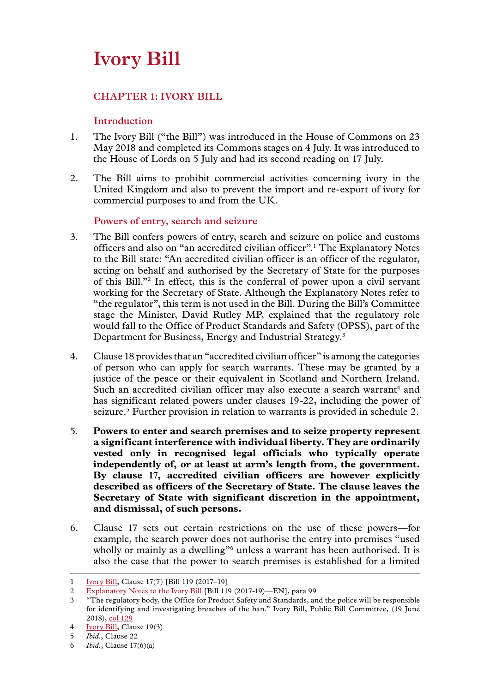## **Ivory Bill**

#### **Chapter 1: IVORY BILL**

#### **Introduction**

- 1. The Ivory Bill ("the Bill") was introduced in the House of Commons on 23 May 2018 and completed its Commons stages on 4 July. It was introduced to the House of Lords on 5 July and had its second reading on 17 July.
- 2. The Bill aims to prohibit commercial activities concerning ivory in the United Kingdom and also to prevent the import and re-export of ivory for commercial purposes to and from the UK.

#### **Powers of entry, search and seizure**

- 3. The Bill confers powers of entry, search and seizure on police and customs officers and also on "an accredited civilian officer".1 The Explanatory Notes to the Bill state: "An accredited civilian officer is an officer of the regulator, acting on behalf and authorised by the Secretary of State for the purposes of this Bill."2 In effect, this is the conferral of power upon a civil servant working for the Secretary of State. Although the Explanatory Notes refer to "the regulator", this term is not used in the Bill. During the Bill's Committee stage the Minister, David Rutley MP, explained that the regulatory role would fall to the Office of Product Standards and Safety (OPSS), part of the Department for Business, Energy and Industrial Strategy.3
- 4. Clause 18 provides that an "accredited civilian officer" is among the categories of person who can apply for search warrants. These may be granted by a justice of the peace or their equivalent in Scotland and Northern Ireland. Such an accredited civilian officer may also execute a search warrant<sup>4</sup> and has significant related powers under clauses 19-22, including the power of seizure.<sup>5</sup> Further provision in relation to warrants is provided in schedule 2.
- 5. **Powers to enter and search premises and to seize property represent a significant interference with individual liberty. They are ordinarily vested only in recognised legal officials who typically operate independently of, or at least at arm's length from, the government. By clause 17, accredited civilian officers are however explicitly described as officers of the Secretary of State. The clause leaves the Secretary of State with significant discretion in the appointment, and dismissal, of such persons.**
- 6. Clause 17 sets out certain restrictions on the use of these powers—for example, the search power does not authorise the entry into premises "used wholly or mainly as a dwelling"<sup>6</sup> unless a warrant has been authorised. It is also the case that the power to search premises is established for a limited

<sup>1</sup> [Ivory Bill](https://services.parliament.uk/bills/2017-19/ivory.html), Clause 17(7) [Bill 119 (2017–19]

<sup>2</sup> [Explanatory Notes to the Ivory Bill](https://publications.parliament.uk/pa/bills/lbill/2017-2019/0119/18119en06.htm) [Bill 119 (2017-19)—EN], para 99

<sup>3</sup> "The regulatory body, the Office for Product Safety and Standards, and the police will be responsible for identifying and investigating breaches of the ban." Ivory Bill, Public Bill Committee, (19 June 2018), [col 129](https://hansard.parliament.uk/commons/2018-06-19/debates/496c0127-cd06-4d03-8ac2-6d28616c50bf/IvoryBill(FifthSitting))

<sup>4</sup> [Ivory Bill](https://services.parliament.uk/bills/2017-19/ivory.html), Clause 19(3)

<sup>5</sup> *Ibid.*, Clause 22

<sup>6</sup> *Ibid.*, Clause 17(6)(a)